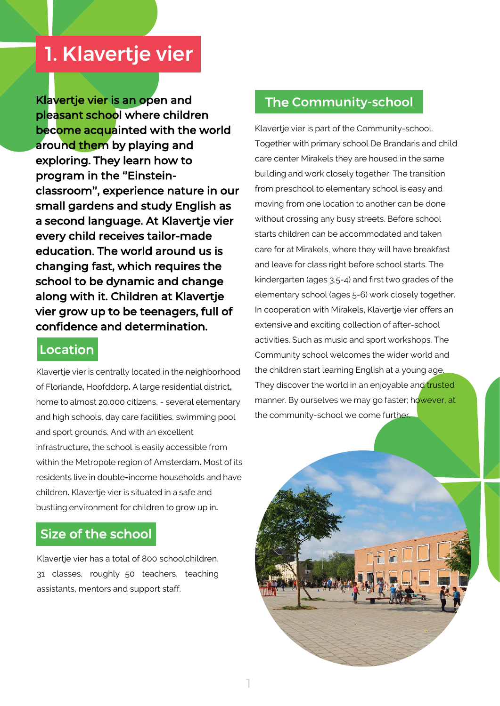## 1. Klavertje vier

Klavertje vier is an open and pleasant school where children become acquainted with the world around them by playing and exploring. They learn how to program in the "Einsteinclassroom'', experience nature in our small gardens and study English as a second language. At Klavertje vier every child receives tailor-made education. The world around us is changing fast, which requires the school to be dynamic and change along with it. Children at Klavertje vier grow up to be teenagers, full of confidence and determination.

#### Location

Klavertje vier is centrally located in the neighborhood of Floriande**,** Hoofddorp**.** A large residential district**,**  home to almost 20.000 citizens, - several elementary and high schools, day care facilities, swimming pool and sport grounds. And with an excellent infrastructure**,** the school is easily accessible from within the Metropole region of Amsterdam**.** Most of its residents live in double**-**income households and have children**.** Klavertje vier is situated in a safe and bustling environment for children to grow up in**.** 

### Size of the school

Klavertje vier has a total of 800 schoolchildren, 31 classes, roughly 50 teachers, teaching assistants, mentors and support staff.

#### The Community-school

Klavertje vier is part of the Community-school. Together with primary school De Brandaris and child care center Mirakels they are housed in the same building and work closely together. The transition from preschool to elementary school is easy and moving from one location to another can be done without crossing any busy streets. Before school starts children can be accommodated and taken care for at Mirakels, where they will have breakfast and leave for class right before school starts. The kindergarten (ages 3,5-4) and first two grades of the elementary school (ages 5-6) work closely together. In cooperation with Mirakels, Klavertie vier offers an extensive and exciting collection of after-school activities. Such as music and sport workshops. The Community school welcomes the wider world and the children start learning English at a young age. They discover the world in an enjoyable and trusted manner. By ourselves we may go faster; however, at the community-school we come further.

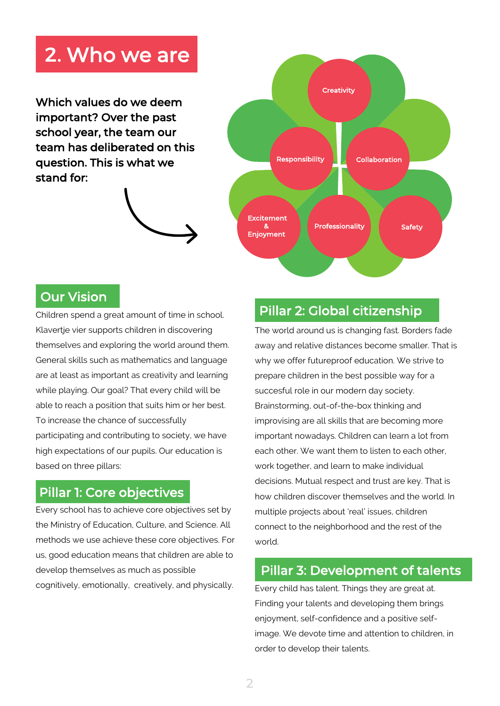# 2. Who we are

Which values do we deem important? Over the past school year, the team our team has deliberated on this question. This is what we stand for:





### Our Vision

Children spend a great amount of time in school. Klavertje vier supports children in discovering themselves and exploring the world around them. General skills such as mathematics and language are at least as important as creativity and learning while playing. Our goal? That every child will be able to reach a position that suits him or her best. To increase the chance of successfully participating and contributing to society, we have high expectations of our pupils. Our education is based on three pillars:

### Pillar 1: Core objectives

Every school has to achieve core objectives set by the Ministry of Education, Culture, and Science. All methods we use achieve these core objectives. For us, good education means that children are able to develop themselves as much as possible cognitively, emotionally, creatively, and physically.

## Pillar 2: Global citizenship

The world around us is changing fast. Borders fade away and relative distances become smaller. That is why we offer futureproof education. We strive to prepare children in the best possible way for a succesful role in our modern day society. Brainstorming, out-of-the-box thinking and improvising are all skills that are becoming more important nowadays. Children can learn a lot from each other. We want them to listen to each other, work together, and learn to make individual decisions. Mutual respect and trust are key. That is how children discover themselves and the world. In multiple projects about 'real' issues, children connect to the neighborhood and the rest of the world.

#### Pillar 3: Development of talents

Every child has talent. Things they are great at. Finding your talents and developing them brings enjoyment, self-confidence and a positive selfimage. We devote time and attention to children, in order to develop their talents.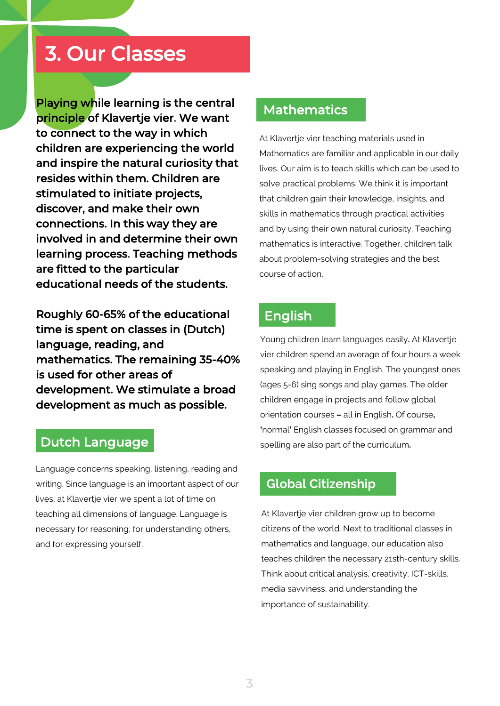## 3. Our Classes

Playing while learning is the central principle of Klavertje vier. We want to connect to the way in which children are experiencing the world and inspire the natural curiosity that resides within them. Children are stimulated to initiate projects, discover, and make their own connections. In this way they are involved in and determine their own learning process. Teaching methods are fitted to the particular educational needs of the students.

Roughly 60-65% of the educational time is spent on classes in (Dutch) language, reading, and mathematics. The remaining 35-40% is used for other areas of development. We stimulate a broad development as much as possible.

#### Dutch Language

Language concerns speaking, listening, reading and writing. Since language is an important aspect of our lives, at Klavertje vier we spent a lot of time on teaching all dimensions of language. Language is necessary for reasoning, for understanding others, and for expressing yourself.

#### Mathematics

At Klavertje vier teaching materials used in Mathematics are familiar and applicable in our daily lives. Our aim is to teach skills which can be used to solve practical problems. We think it is important that children gain their knowledge, insights, and skills in mathematics through practical activities and by using their own natural curiosity. Teaching mathematics is interactive. Together, children talk about problem-solving strategies and the best course of action.

#### English

Young children learn languages easily**.** At Klavertje vier children spend an average of four hours a week speaking and playing in English. The youngest ones (ages 5-6) sing songs and play games. The older children engage in projects and follow global orientation courses **–** all in English**.** Of course**, '**normal**'** English classes focused on grammar and spelling are also part of the curriculum**.** 

#### **Global Citizenship**

At Klavertje vier children grow up to become citizens of the world. Next to traditional classes in mathematics and language, our education also teaches children the necessary 21sth-century skills. Think about critical analysis, creativity, ICT-skills, media savviness, and understanding the importance of sustainability.